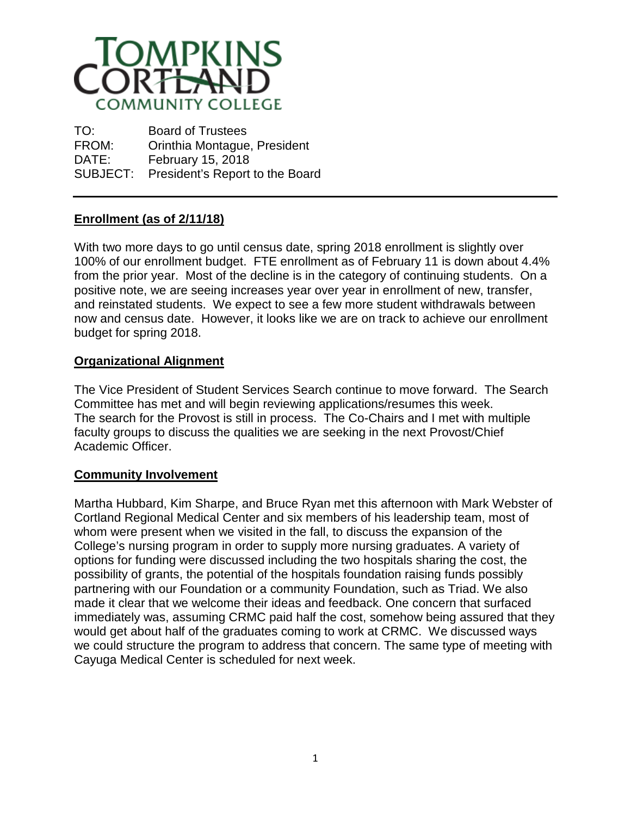

TO: Board of Trustees FROM: Orinthia Montague, President DATE: February 15, 2018 SUBJECT: President's Report to the Board

## **Enrollment (as of 2/11/18)**

With two more days to go until census date, spring 2018 enrollment is slightly over 100% of our enrollment budget. FTE enrollment as of February 11 is down about 4.4% from the prior year. Most of the decline is in the category of continuing students. On a positive note, we are seeing increases year over year in enrollment of new, transfer, and reinstated students. We expect to see a few more student withdrawals between now and census date. However, it looks like we are on track to achieve our enrollment budget for spring 2018.

## **Organizational Alignment**

The Vice President of Student Services Search continue to move forward. The Search Committee has met and will begin reviewing applications/resumes this week. The search for the Provost is still in process. The Co-Chairs and I met with multiple faculty groups to discuss the qualities we are seeking in the next Provost/Chief Academic Officer.

## **Community Involvement**

Martha Hubbard, Kim Sharpe, and Bruce Ryan met this afternoon with Mark Webster of Cortland Regional Medical Center and six members of his leadership team, most of whom were present when we visited in the fall, to discuss the expansion of the College's nursing program in order to supply more nursing graduates. A variety of options for funding were discussed including the two hospitals sharing the cost, the possibility of grants, the potential of the hospitals foundation raising funds possibly partnering with our Foundation or a community Foundation, such as Triad. We also made it clear that we welcome their ideas and feedback. One concern that surfaced immediately was, assuming CRMC paid half the cost, somehow being assured that they would get about half of the graduates coming to work at CRMC. We discussed ways we could structure the program to address that concern. The same type of meeting with Cayuga Medical Center is scheduled for next week.